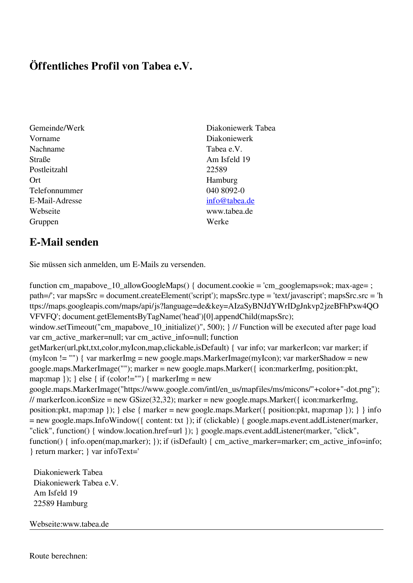## **Öffentliches Profil von Tabea e.V.**

- Gemeinde/Werk Diakoniewerk Tabea Vorname Diakoniewerk Nachname Tabea e.V. Straße Am Isfeld 19 Postleitzahl 22589 Ort Hamburg Telefonnummer 040 8092-0 E-Mail-Adresse [info@tabea.de](mailto:info@tabea.de) Webseite www.tabea.de Gruppen Werke
	-

## **E-Mail senden**

Sie müssen sich anmelden, um E-Mails zu versenden.

function cm\_mapabove\_10\_allowGoogleMaps() { document.cookie = 'cm\_googlemaps=ok; max-age= ; path=/'; var mapsSrc = document.createElement('script'); mapsSrc.type = 'text/javascript'; mapsSrc.src = 'h ttps://maps.googleapis.com/maps/api/js?language=de&key=AIzaSyBNJdYWrIDgJnkvp2jzeBFhPxw4QO VFVFQ'; document.getElementsByTagName('head')[0].appendChild(mapsSrc); window.setTimeout("cm\_mapabove\_10\_initialize()", 500); } // Function will be executed after page load var cm\_active\_marker=null; var cm\_active\_info=null; function getMarker(url,pkt,txt,color,myIcon,map,clickable,isDefault) { var info; var markerIcon; var marker; if (myIcon != "") { var markerImg = new google.maps.MarkerImage(myIcon); var markerShadow = new google.maps.MarkerImage(""); marker = new google.maps.Marker({ icon:markerImg, position:pkt, map:map  $\}$ ;  $\}$  else  $\{$  if (color!="")  $\{$  markerImg = new google.maps.MarkerImage("https://www.google.com/intl/en\_us/mapfiles/ms/micons/"+color+"-dot.png"); // markerIcon.iconSize = new GSize(32,32); marker = new google.maps.Marker({ $i$ con:markerImg, position:pkt, map:map }); } else { marker = new google.maps.Marker({ position:pkt, map:map }); } } info = new google.maps.InfoWindow({ content: txt }); if (clickable) { google.maps.event.addListener(marker, "click", function() { window.location.href=url }); } google.maps.event.addListener(marker, "click", function() { info.open(map,marker); }); if (isDefault) { cm\_active\_marker=marker; cm\_active\_info=info; } return marker; } var infoText='

 Diakoniewerk Tabea Diakoniewerk Tabea e.V. Am Isfeld 19 22589 Hamburg

Webseite:www.tabea.de